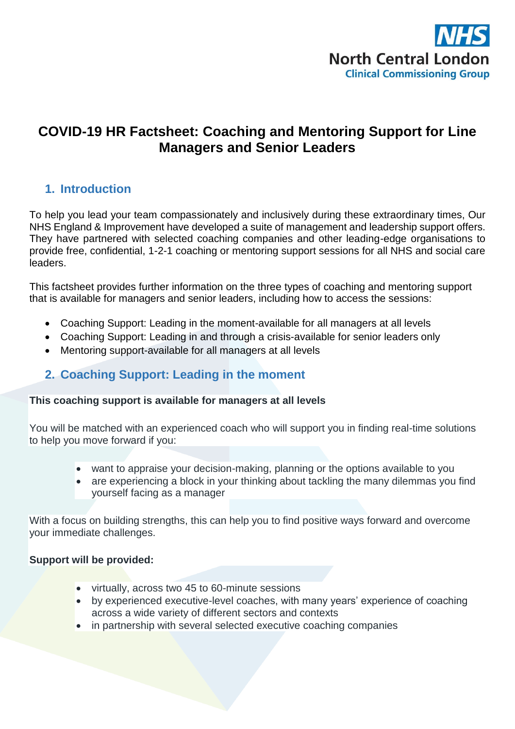

# **COVID-19 HR Factsheet: Coaching and Mentoring Support for Line Managers and Senior Leaders**

### **1. Introduction**

To help you lead your team compassionately and inclusively during these extraordinary times, Our NHS England & Improvement have developed a suite of management and leadership support offers. They have partnered with selected coaching companies and other leading-edge organisations to provide free, confidential, 1-2-1 coaching or mentoring support sessions for all NHS and social care leaders.

This factsheet provides further information on the three types of coaching and mentoring support that is available for managers and senior leaders, including how to access the sessions:

- Coaching Support: Leading in the moment-available for all managers at all levels
- Coaching Support: Leading in and through a crisis-available for senior leaders only
- Mentoring support-available for all managers at all levels

### **2. Coaching Support: Leading in the moment**

#### **This coaching support is available for managers at all levels**

You will be matched with an experienced coach who will support you in finding real-time solutions to help you move forward if you:

- want to appraise your decision-making, planning or the options available to you
- are experiencing a block in your thinking about tackling the many dilemmas you find yourself facing as a manager

With a focus on building strengths, this can help you to find positive ways forward and overcome your immediate challenges.

#### **Support will be provided:**

- virtually, across two 45 to 60-minute sessions
- by experienced executive-level coaches, with many years' experience of coaching across a wide variety of different sectors and contexts
- in partnership with several selected executive coaching companies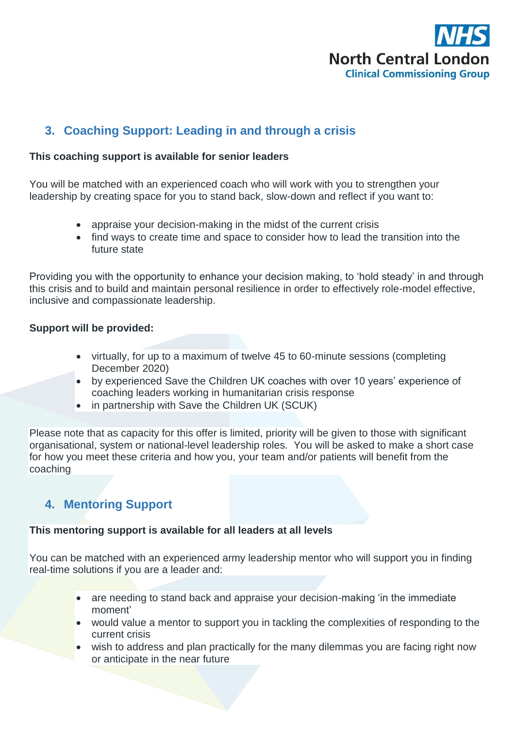

# **3. Coaching Support: Leading in and through a crisis**

#### **This coaching support is available for senior leaders**

You will be matched with an experienced coach who will work with you to strengthen your leadership by creating space for you to stand back, slow-down and reflect if you want to:

- appraise your decision-making in the midst of the current crisis
- find ways to create time and space to consider how to lead the transition into the future state

Providing you with the opportunity to enhance your decision making, to 'hold steady' in and through this crisis and to build and maintain personal resilience in order to effectively role-model effective, inclusive and compassionate leadership.

#### **Support will be provided:**

- virtually, for up to a maximum of twelve 45 to 60-minute sessions (completing December 2020)
- by experienced Save the Children UK coaches with over 10 years' experience of coaching leaders working in humanitarian crisis response
- in partnership with Save the Children UK (SCUK)

Please note that as capacity for this offer is limited, priority will be given to those with significant organisational, system or national-level leadership roles. You will be asked to make a short case for how you meet these criteria and how you, your team and/or patients will benefit from the coaching

## **4. Mentoring Support**

#### **This mentoring support is available for all leaders at all levels**

You can be matched with an experienced army leadership mentor who will support you in finding real-time solutions if you are a leader and:

- are needing to stand back and appraise your decision-making 'in the immediate moment'
- would value a mentor to support you in tackling the complexities of responding to the current crisis
- wish to address and plan practically for the many dilemmas you are facing right now or anticipate in the near future